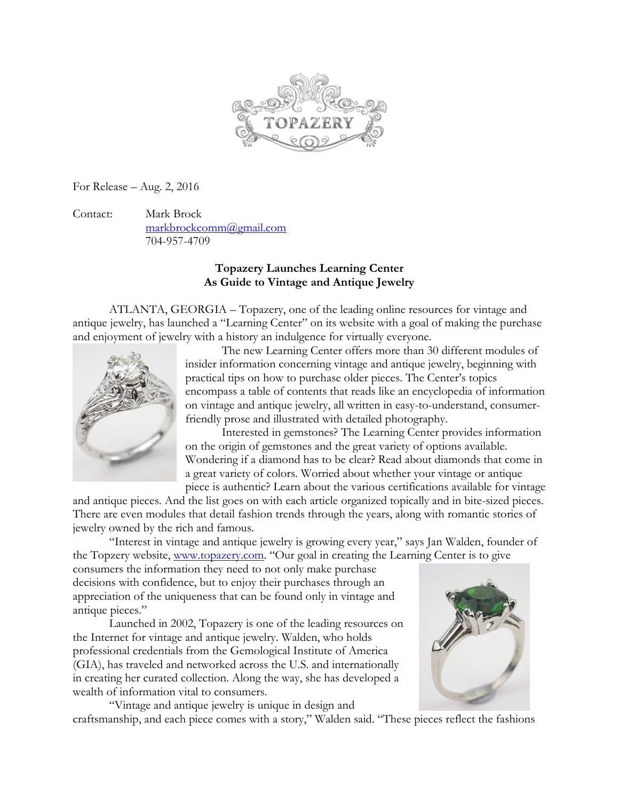

For Release – Aug. 2, 2016

Contact: Mark Brock [markbrockcomm@gmail.com](mailto:markbrockcomm@gmail.com) 704-957-4709

## **Topazery Launches Learning Center As Guide to Vintage and Antique Jewelry**

ATLANTA, GEORGIA – Topazery, one of the leading online resources for vintage and antique jewelry, has launched a "Learning Center" on its website with a goal of making the purchase and enjoyment of jewelry with a history an indulgence for virtually everyone.



The new Learning Center offers more than 30 different modules of insider information concerning vintage and antique jewelry, beginning with practical tips on how to purchase older pieces. The Center's topics encompass a table of contents that reads like an encyclopedia of information on vintage and antique jewelry, all written in easy-to-understand, consumerfriendly prose and illustrated with detailed photography.

Interested in gemstones? The Learning Center provides information on the origin of gemstones and the great variety of options available. Wondering if a diamond has to be clear? Read about diamonds that come in a great variety of colors. Worried about whether your vintage or antique piece is authentic? Learn about the various certifications available for vintage

and antique pieces. And the list goes on with each article organized topically and in bite-sized pieces. There are even modules that detail fashion trends through the years, along with romantic stories of jewelry owned by the rich and famous.

"Interest in vintage and antique jewelry is growing every year," says Jan Walden, founder of the Topzery website, [www.topazery.com](http://www.topazery.com/). "Our goal in creating the Learning Center is to give

consumers the information they need to not only make purchase decisions with confidence, but to enjoy their purchases through an appreciation of the uniqueness that can be found only in vintage and antique pieces."

 Launched in 2002, Topazery is one of the leading resources on the Internet for vintage and antique jewelry. Walden, who holds professional credentials from the Gemological Institute of America (GIA), has traveled and networked across the U.S. and internationally in creating her curated collection. Along the way, she has developed a wealth of information vital to consumers.



"Vintage and antique jewelry is unique in design and craftsmanship, and each piece comes with a story," Walden said. "These pieces reflect the fashions